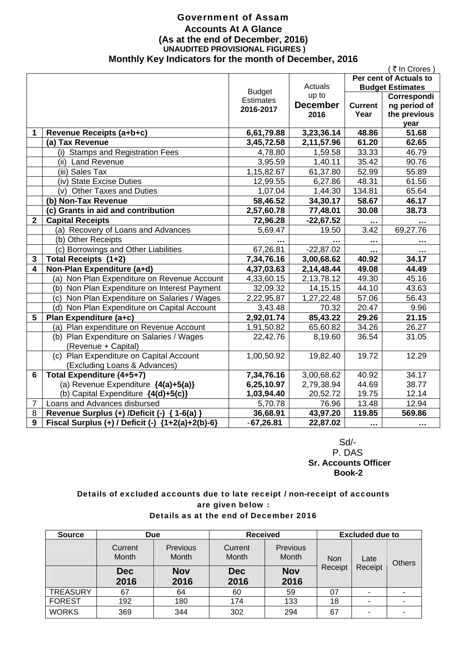### Government of Assam **Accounts At A Glance (As at the end of December, 2016) UNAUDITED PROVISIONAL FIGURES ) Monthly Key Indicators for the month of December, 2016**

|                |                                                    |                  |                 |                | (₹In Crores)            |
|----------------|----------------------------------------------------|------------------|-----------------|----------------|-------------------------|
|                |                                                    |                  |                 |                | Per cent of Actuals to  |
|                |                                                    | <b>Budget</b>    | Actuals         |                | <b>Budget Estimates</b> |
|                |                                                    | <b>Estimates</b> | up to           |                | Correspondi             |
|                |                                                    | 2016-2017        | <b>December</b> | <b>Current</b> | ng period of            |
|                |                                                    |                  | 2016            | Year           | the previous            |
|                |                                                    |                  |                 |                | year                    |
| 1              | Revenue Receipts (a+b+c)                           | 6,61,79.88       | 3,23,36.14      | 48.86          | 51.68                   |
|                | (a) Tax Revenue                                    | 3,45,72.58       | 2,11,57.96      | 61.20          | 62.65                   |
|                | (i) Stamps and Registration Fees                   | 4,78.80          | 1,59.58         | 33.33          | 46.79                   |
|                | (ii) Land Revenue                                  | 3,95.59          | 1,40.11         | 35.42          | 90.76                   |
|                | (iii) Sales Tax                                    | 1,15,82.67       | 61,37.80        | 52.99          | 55.89                   |
|                | (iv) State Excise Duties                           | 12,99.55         | 6,27.86         | 48.31          | 61.56                   |
|                | (v) Other Taxes and Duties                         | 1,07.04          | 1,44.30         | 134.81         | 65.64                   |
|                | (b) Non-Tax Revenue                                | 58,46.52         | 34,30.17        | 58.67          | 46.17                   |
|                | (c) Grants in aid and contribution                 | 2,57,60.78       | 77,48.01        | 30.08          | 38.73                   |
| $\overline{2}$ | <b>Capital Receipts</b>                            | 72,96.28         | $-22,67.52$     |                | $\sim$ $\sim$ $\sim$    |
|                | (a) Recovery of Loans and Advances                 | 5,69.47          | 19.50           | 3.42           | 69,27.76                |
|                | (b) Other Receipts                                 |                  |                 |                | .                       |
|                | (c) Borrowings and Other Liabilities               | 67,26.81         | $-22,87.02$     | $\cdots$       | $\ddotsc$               |
| 3              | Total Receipts (1+2)                               | 7,34,76.16       | 3,00,68.62      | 40.92          | 34.17                   |
| 4              | Non-Plan Expenditure (a+d)                         | 4,37,03.63       | 2,14,48.44      | 49.08          | 44.49                   |
|                | (a) Non Plan Expenditure on Revenue Account        | 4,33,60.15       | 2,13,78.12      | 49.30          | 45.16                   |
|                | (b) Non Plan Expenditure on Interest Payment       | 32,09.32         | 14, 15. 15      | 44.10          | 43.63                   |
|                | (c) Non Plan Expenditure on Salaries / Wages       | 2,22,95.87       | 1,27,22.48      | 57.06          | 56.43                   |
|                | (d) Non Plan Expenditure on Capital Account        | 3,43.48          | 70.32           | 20.47          | 9.96                    |
| 5              | Plan Expenditure (a+c)                             | 2,92,01.74       | 85,43.22        | 29.26          | 21.15                   |
|                | (a) Plan expenditure on Revenue Account            | 1,91,50.82       | 65,60.82        | 34.26          | 26.27                   |
|                | (b) Plan Expenditure on Salaries / Wages           | 22,42.76         | 8,19.60         | 36.54          | 31.05                   |
|                | (Revenue + Capital)                                |                  |                 |                |                         |
|                | (c) Plan Expenditure on Capital Account            | 1,00,50.92       | 19,82.40        | 19.72          | 12.29                   |
|                | (Excluding Loans & Advances)                       |                  |                 |                |                         |
| 6              | Total Expenditure (4+5+7)                          | 7,34,76.16       | 3,00,68.62      | 40.92          | 34.17                   |
|                | (a) Revenue Expenditure {4(a)+5(a)}                | 6,25,10.97       | 2,79,38.94      | 44.69          | 38.77                   |
|                | (b) Capital Expenditure {4(d)+5(c)}                | 1,03,94.40       | 20,52.72        | 19.75          | 12.14                   |
| 7              | Loans and Advances disbursed                       | 5,70.78          | 76.96           | 13.48          | 12.94                   |
| 8              | Revenue Surplus (+) /Deficit (-) { 1-6(a) }        | 36,68.91         | 43,97.20        | 119.85         | 569.86                  |
| 9              | Fiscal Surplus (+) / Deficit (-) ${1+2(a)+2(b)-6}$ | $-67,26.81$      | 22,87.02        |                | $\cdots$                |

 Sd/- P. DAS  **Sr. Accounts Officer Book-2** 

### Details of excluded accounts due to late receipt / non-receipt of accounts are given below : Details as at the end of December 2016

| <b>Source</b>   | <b>Due</b>         |                          | <b>Received</b>    |                          | <b>Excluded due to</b> |               |  |
|-----------------|--------------------|--------------------------|--------------------|--------------------------|------------------------|---------------|--|
|                 | Current<br>Month   | <b>Previous</b><br>Month | Current<br>Month   | <b>Previous</b><br>Month | <b>Non</b><br>Late     | <b>Others</b> |  |
|                 | <b>Dec</b><br>2016 | <b>Nov</b><br>2016       | <b>Dec</b><br>2016 | <b>Nov</b><br>2016       | Receipt                | Receipt       |  |
| <b>TREASURY</b> | 67                 | 64                       | 60                 | 59                       | 07                     |               |  |
| <b>FOREST</b>   | 192                | 180                      | 174                | 133                      | 18                     | ٠             |  |
| <b>WORKS</b>    | 369                | 344                      | 302                | 294                      | 67                     | ۰             |  |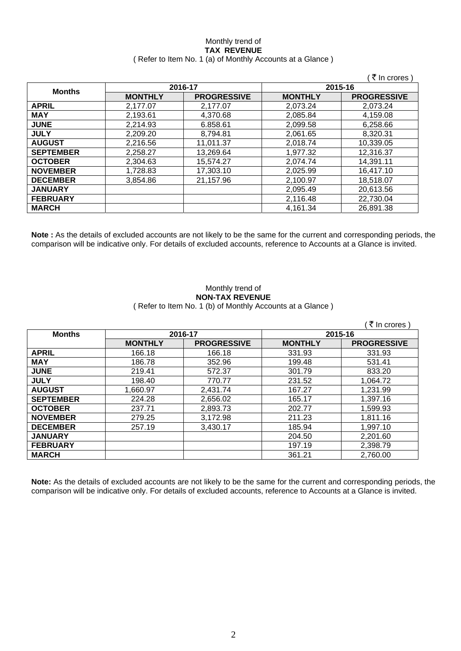### Monthly trend of **TAX REVENUE**  ( Refer to Item No. 1 (a) of Monthly Accounts at a Glance )

|                  |                |                    |                | (₹ In crores)      |
|------------------|----------------|--------------------|----------------|--------------------|
|                  | 2016-17        |                    |                | 2015-16            |
| <b>Months</b>    | <b>MONTHLY</b> | <b>PROGRESSIVE</b> | <b>MONTHLY</b> | <b>PROGRESSIVE</b> |
| <b>APRIL</b>     | 2,177.07       | 2.177.07           | 2,073.24       | 2,073.24           |
| <b>MAY</b>       | 2,193.61       | 4,370.68           | 2,085.84       | 4,159.08           |
| <b>JUNE</b>      | 2,214.93       | 6.858.61           | 2,099.58       | 6,258.66           |
| <b>JULY</b>      | 2,209.20       | 8,794.81           | 2,061.65       | 8,320.31           |
| <b>AUGUST</b>    | 2,216.56       | 11.011.37          | 2,018.74       | 10,339.05          |
| <b>SEPTEMBER</b> | 2,258.27       | 13,269.64          | 1,977.32       | 12,316.37          |
| <b>OCTOBER</b>   | 2,304.63       | 15,574.27          | 2,074.74       | 14,391.11          |
| <b>NOVEMBER</b>  | 1,728.83       | 17,303.10          | 2,025.99       | 16,417.10          |
| <b>DECEMBER</b>  | 3.854.86       | 21,157.96          | 2,100.97       | 18,518.07          |
| <b>JANUARY</b>   |                |                    | 2,095.49       | 20,613.56          |
| <b>FEBRUARY</b>  |                |                    | 2,116.48       | 22,730.04          |
| <b>MARCH</b>     |                |                    | 4,161.34       | 26,891.38          |

**Note :** As the details of excluded accounts are not likely to be the same for the current and corresponding periods, the comparison will be indicative only. For details of excluded accounts, reference to Accounts at a Glance is invited.

### Monthly trend of **NON-TAX REVENUE**  ( Refer to Item No. 1 (b) of Monthly Accounts at a Glance )

| <b>Months</b>    | 2016-17        |                    | 2015-16        |                    |
|------------------|----------------|--------------------|----------------|--------------------|
|                  | <b>MONTHLY</b> | <b>PROGRESSIVE</b> | <b>MONTHLY</b> | <b>PROGRESSIVE</b> |
| <b>APRIL</b>     | 166.18         | 166.18             | 331.93         | 331.93             |
| <b>MAY</b>       | 186.78         | 352.96             | 199.48         | 531.41             |
| <b>JUNE</b>      | 219.41         | 572.37             | 301.79         | 833.20             |
| <b>JULY</b>      | 198.40         | 770.77             | 231.52         | 1,064.72           |
| <b>AUGUST</b>    | 1,660.97       | 2,431.74           | 167.27         | 1,231.99           |
| <b>SEPTEMBER</b> | 224.28         | 2,656.02           | 165.17         | 1,397.16           |
| <b>OCTOBER</b>   | 237.71         | 2,893.73           | 202.77         | 1,599.93           |
| <b>NOVEMBER</b>  | 279.25         | 3,172.98           | 211.23         | 1,811.16           |
| <b>DECEMBER</b>  | 257.19         | 3,430.17           | 185.94         | 1,997.10           |
| <b>JANUARY</b>   |                |                    | 204.50         | 2,201.60           |
| <b>FEBRUARY</b>  |                |                    | 197.19         | 2,398.79           |
| <b>MARCH</b>     |                |                    | 361.21         | 2,760.00           |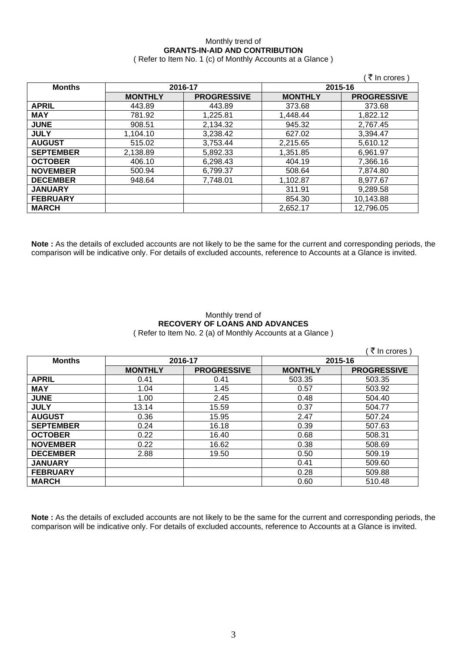## Monthly trend of **GRANTS-IN-AID AND CONTRIBUTION**

( Refer to Item No. 1 (c) of Monthly Accounts at a Glance )

|                  |                |                    |                | ∶₹ In crores )     |
|------------------|----------------|--------------------|----------------|--------------------|
| <b>Months</b>    | 2016-17        |                    |                | 2015-16            |
|                  | <b>MONTHLY</b> | <b>PROGRESSIVE</b> | <b>MONTHLY</b> | <b>PROGRESSIVE</b> |
| <b>APRIL</b>     | 443.89         | 443.89             | 373.68         | 373.68             |
| <b>MAY</b>       | 781.92         | 1,225.81           | 1,448.44       | 1,822.12           |
| <b>JUNE</b>      | 908.51         | 2,134.32           | 945.32         | 2,767.45           |
| <b>JULY</b>      | 1,104.10       | 3,238.42           | 627.02         | 3,394.47           |
| <b>AUGUST</b>    | 515.02         | 3,753.44           | 2,215.65       | 5,610.12           |
| <b>SEPTEMBER</b> | 2,138.89       | 5,892.33           | 1,351.85       | 6,961.97           |
| <b>OCTOBER</b>   | 406.10         | 6,298.43           | 404.19         | 7,366.16           |
| <b>NOVEMBER</b>  | 500.94         | 6,799.37           | 508.64         | 7,874.80           |
| <b>DECEMBER</b>  | 948.64         | 7,748.01           | 1,102.87       | 8,977.67           |
| <b>JANUARY</b>   |                |                    | 311.91         | 9,289.58           |
| <b>FEBRUARY</b>  |                |                    | 854.30         | 10,143.88          |
| <b>MARCH</b>     |                |                    | 2,652.17       | 12,796.05          |

**Note :** As the details of excluded accounts are not likely to be the same for the current and corresponding periods, the comparison will be indicative only. For details of excluded accounts, reference to Accounts at a Glance is invited.

### Monthly trend of **RECOVERY OF LOANS AND ADVANCES**  ( Refer to Item No. 2 (a) of Monthly Accounts at a Glance )

|                  |                |                    |                | ₹ In crores        |
|------------------|----------------|--------------------|----------------|--------------------|
| <b>Months</b>    | 2016-17        |                    | 2015-16        |                    |
|                  | <b>MONTHLY</b> | <b>PROGRESSIVE</b> | <b>MONTHLY</b> | <b>PROGRESSIVE</b> |
| <b>APRIL</b>     | 0.41           | 0.41               | 503.35         | 503.35             |
| <b>MAY</b>       | 1.04           | 1.45               | 0.57           | 503.92             |
| <b>JUNE</b>      | 1.00           | 2.45               | 0.48           | 504.40             |
| <b>JULY</b>      | 13.14          | 15.59              | 0.37           | 504.77             |
| <b>AUGUST</b>    | 0.36           | 15.95              | 2.47           | 507.24             |
| <b>SEPTEMBER</b> | 0.24           | 16.18              | 0.39           | 507.63             |
| <b>OCTOBER</b>   | 0.22           | 16.40              | 0.68           | 508.31             |
| <b>NOVEMBER</b>  | 0.22           | 16.62              | 0.38           | 508.69             |
| <b>DECEMBER</b>  | 2.88           | 19.50              | 0.50           | 509.19             |
| <b>JANUARY</b>   |                |                    | 0.41           | 509.60             |
| <b>FEBRUARY</b>  |                |                    | 0.28           | 509.88             |
| <b>MARCH</b>     |                |                    | 0.60           | 510.48             |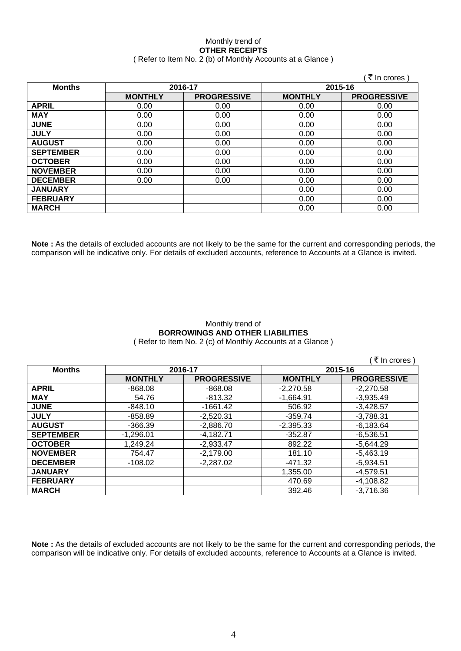#### Monthly trend of **OTHER RECEIPTS**  ( Refer to Item No. 2 (b) of Monthly Accounts at a Glance )

|                  |                |                    |                | ∶ <i>₹</i> In crores ) |
|------------------|----------------|--------------------|----------------|------------------------|
| <b>Months</b>    | 2016-17        |                    | 2015-16        |                        |
|                  | <b>MONTHLY</b> | <b>PROGRESSIVE</b> | <b>MONTHLY</b> | <b>PROGRESSIVE</b>     |
| <b>APRIL</b>     | 0.00           | 0.00               | 0.00           | 0.00                   |
| <b>MAY</b>       | 0.00           | 0.00               | 0.00           | 0.00                   |
| <b>JUNE</b>      | 0.00           | 0.00               | 0.00           | 0.00                   |
| <b>JULY</b>      | 0.00           | 0.00               | 0.00           | 0.00                   |
| <b>AUGUST</b>    | 0.00           | 0.00               | 0.00           | 0.00                   |
| <b>SEPTEMBER</b> | 0.00           | 0.00               | 0.00           | 0.00                   |
| <b>OCTOBER</b>   | 0.00           | 0.00               | 0.00           | 0.00                   |
| <b>NOVEMBER</b>  | 0.00           | 0.00               | 0.00           | 0.00                   |
| <b>DECEMBER</b>  | 0.00           | 0.00               | 0.00           | 0.00                   |
| <b>JANUARY</b>   |                |                    | 0.00           | 0.00                   |
| <b>FEBRUARY</b>  |                |                    | 0.00           | 0.00                   |
| <b>MARCH</b>     |                |                    | 0.00           | 0.00                   |

**Note :** As the details of excluded accounts are not likely to be the same for the current and corresponding periods, the comparison will be indicative only. For details of excluded accounts, reference to Accounts at a Glance is invited.

## Monthly trend of **BORROWINGS AND OTHER LIABILITIES**

( Refer to Item No. 2 (c) of Monthly Accounts at a Glance )

 $($  ₹ In crores ) **Months 2016-17 2015-16 MONTHLY | PROGRESSIVE | MONTHLY | PROGRESSIVE APRIL** -868.08 -868.08 -2,270.58 -2,270.58 **MAY** 54.76 -813.32 -1,664.91 -3,935.49 **JUNE** -848.10 -1661.42 506.92 -3,428.57 **JULY** -858.89 -2,520.31 -359.74 -3,788.31 **AUGUST** | -366.39 | -2,886.70 | -2,395.33 | -6,183.64 **SEPTEMBER** -1,296.01 -4,182.71 -352.87 -6,536.51 **OCTOBER** 1,249.24 2-2,933.47 892.22 5,644.29 **NOVEMBER** | 754.47 | -2,179.00 | 181.10 | -5,463.19 **DECEMBER** -108.02 -2,287.02 -471.32 -5,934.51 **JANUARY** 1,355.00 -4,579.51 **FEBRUARY 1** -4,108.82 **MARCH** 392.46 -3,716.36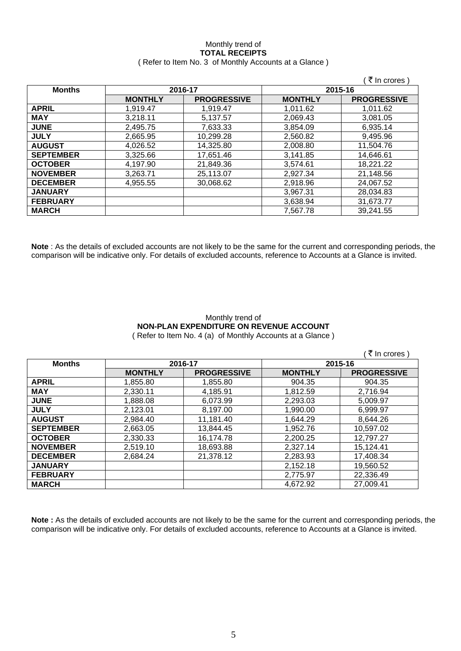## Monthly trend of **TOTAL RECEIPTS**

|  | (Refer to Item No. 3 of Monthly Accounts at a Glance) |
|--|-------------------------------------------------------|
|--|-------------------------------------------------------|

|                  |                |                    |                | ₹ In crores)       |
|------------------|----------------|--------------------|----------------|--------------------|
| <b>Months</b>    | 2016-17        |                    | 2015-16        |                    |
|                  | <b>MONTHLY</b> | <b>PROGRESSIVE</b> | <b>MONTHLY</b> | <b>PROGRESSIVE</b> |
| <b>APRIL</b>     | 1.919.47       | 1.919.47           | 1.011.62       | 1.011.62           |
| <b>MAY</b>       | 3,218.11       | 5.137.57           | 2,069.43       | 3.081.05           |
| <b>JUNE</b>      | 2,495.75       | 7,633.33           | 3,854.09       | 6,935.14           |
| <b>JULY</b>      | 2,665.95       | 10,299.28          | 2,560.82       | 9,495.96           |
| <b>AUGUST</b>    | 4,026.52       | 14,325.80          | 2,008.80       | 11,504.76          |
| <b>SEPTEMBER</b> | 3,325.66       | 17,651.46          | 3,141.85       | 14,646.61          |
| <b>OCTOBER</b>   | 4,197.90       | 21,849.36          | 3,574.61       | 18,221.22          |
| <b>NOVEMBER</b>  | 3,263.71       | 25,113.07          | 2,927.34       | 21,148.56          |
| <b>DECEMBER</b>  | 4,955.55       | 30,068.62          | 2,918.96       | 24,067.52          |
| <b>JANUARY</b>   |                |                    | 3,967.31       | 28,034.83          |
| <b>FEBRUARY</b>  |                |                    | 3,638.94       | 31,673.77          |
| <b>MARCH</b>     |                |                    | 7,567.78       | 39,241.55          |

**Note** : As the details of excluded accounts are not likely to be the same for the current and corresponding periods, the comparison will be indicative only. For details of excluded accounts, reference to Accounts at a Glance is invited.

## Monthly trend of **NON-PLAN EXPENDITURE ON REVENUE ACCOUNT**

( Refer to Item No. 4 (a) of Monthly Accounts at a Glance )

|                  |                |                    |                | ़₹ In crores )     |
|------------------|----------------|--------------------|----------------|--------------------|
| <b>Months</b>    | 2016-17        |                    |                | 2015-16            |
|                  | <b>MONTHLY</b> | <b>PROGRESSIVE</b> | <b>MONTHLY</b> | <b>PROGRESSIVE</b> |
| <b>APRIL</b>     | 1,855.80       | 1,855.80           | 904.35         | 904.35             |
| <b>MAY</b>       | 2,330.11       | 4,185.91           | 1,812.59       | 2,716.94           |
| <b>JUNE</b>      | 1,888.08       | 6.073.99           | 2,293.03       | 5,009.97           |
| <b>JULY</b>      | 2,123.01       | 8,197.00           | 1,990.00       | 6,999.97           |
| <b>AUGUST</b>    | 2,984.40       | 11,181.40          | 1,644.29       | 8,644.26           |
| <b>SEPTEMBER</b> | 2,663.05       | 13,844.45          | 1,952.76       | 10,597.02          |
| <b>OCTOBER</b>   | 2,330.33       | 16,174.78          | 2,200.25       | 12,797.27          |
| <b>NOVEMBER</b>  | 2,519.10       | 18,693.88          | 2,327.14       | 15,124.41          |
| <b>DECEMBER</b>  | 2.684.24       | 21,378.12          | 2,283.93       | 17,408.34          |
| <b>JANUARY</b>   |                |                    | 2,152.18       | 19,560.52          |
| <b>FEBRUARY</b>  |                |                    | 2,775.97       | 22,336.49          |
| <b>MARCH</b>     |                |                    | 4,672.92       | 27,009.41          |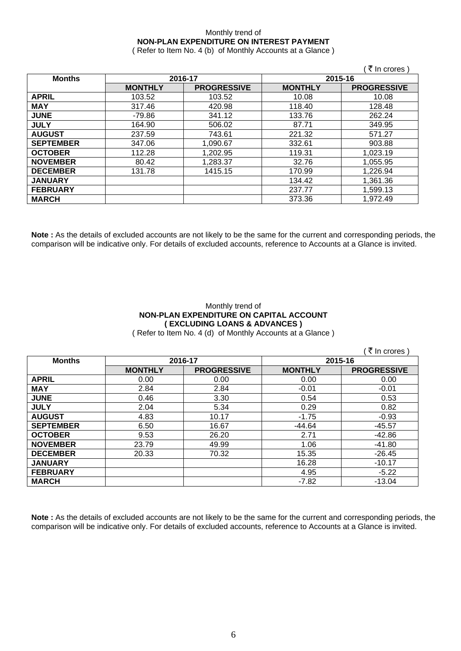### Monthly trend of **NON-PLAN EXPENDITURE ON INTEREST PAYMENT**

( Refer to Item No. 4 (b) of Monthly Accounts at a Glance )

|                  |                |                    |                | ₹ In crores)       |
|------------------|----------------|--------------------|----------------|--------------------|
| <b>Months</b>    | 2016-17        |                    | 2015-16        |                    |
|                  | <b>MONTHLY</b> | <b>PROGRESSIVE</b> | <b>MONTHLY</b> | <b>PROGRESSIVE</b> |
| <b>APRIL</b>     | 103.52         | 103.52             | 10.08          | 10.08              |
| <b>MAY</b>       | 317.46         | 420.98             | 118.40         | 128.48             |
| <b>JUNE</b>      | -79.86         | 341.12             | 133.76         | 262.24             |
| <b>JULY</b>      | 164.90         | 506.02             | 87.71          | 349.95             |
| <b>AUGUST</b>    | 237.59         | 743.61             | 221.32         | 571.27             |
| <b>SEPTEMBER</b> | 347.06         | 1,090.67           | 332.61         | 903.88             |
| <b>OCTOBER</b>   | 112.28         | 1,202.95           | 119.31         | 1,023.19           |
| <b>NOVEMBER</b>  | 80.42          | 1,283.37           | 32.76          | 1,055.95           |
| <b>DECEMBER</b>  | 131.78         | 1415.15            | 170.99         | 1,226.94           |
| <b>JANUARY</b>   |                |                    | 134.42         | 1,361.36           |
| <b>FEBRUARY</b>  |                |                    | 237.77         | 1,599.13           |
| <b>MARCH</b>     |                |                    | 373.36         | 1.972.49           |

**Note :** As the details of excluded accounts are not likely to be the same for the current and corresponding periods, the comparison will be indicative only. For details of excluded accounts, reference to Accounts at a Glance is invited.

### Monthly trend of **NON-PLAN EXPENDITURE ON CAPITAL ACCOUNT ( EXCLUDING LOANS & ADVANCES )**

( Refer to Item No. 4 (d) of Monthly Accounts at a Glance )

|                  |                |                    |                | (₹ In crores )     |
|------------------|----------------|--------------------|----------------|--------------------|
| <b>Months</b>    | 2016-17        |                    | 2015-16        |                    |
|                  | <b>MONTHLY</b> | <b>PROGRESSIVE</b> | <b>MONTHLY</b> | <b>PROGRESSIVE</b> |
| <b>APRIL</b>     | 0.00           | 0.00               | 0.00           | 0.00               |
| <b>MAY</b>       | 2.84           | 2.84               | $-0.01$        | $-0.01$            |
| <b>JUNE</b>      | 0.46           | 3.30               | 0.54           | 0.53               |
| <b>JULY</b>      | 2.04           | 5.34               | 0.29           | 0.82               |
| <b>AUGUST</b>    | 4.83           | 10.17              | $-1.75$        | $-0.93$            |
| <b>SEPTEMBER</b> | 6.50           | 16.67              | $-44.64$       | $-45.57$           |
| <b>OCTOBER</b>   | 9.53           | 26.20              | 2.71           | -42.86             |
| <b>NOVEMBER</b>  | 23.79          | 49.99              | 1.06           | $-41.80$           |
| <b>DECEMBER</b>  | 20.33          | 70.32              | 15.35          | $-26.45$           |
| <b>JANUARY</b>   |                |                    | 16.28          | $-10.17$           |
| <b>FEBRUARY</b>  |                |                    | 4.95           | $-5.22$            |
| <b>MARCH</b>     |                |                    | -7.82          | $-13.04$           |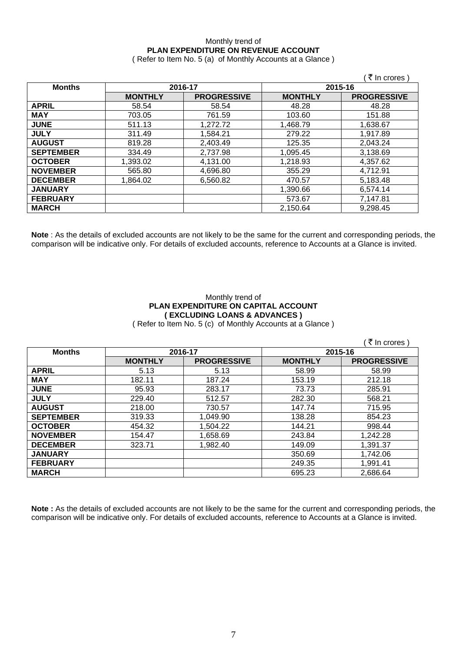## Monthly trend of **PLAN EXPENDITURE ON REVENUE ACCOUNT**

( Refer to Item No. 5 (a) of Monthly Accounts at a Glance )

|                  |                |                    |                | ़₹ In crores )     |
|------------------|----------------|--------------------|----------------|--------------------|
| <b>Months</b>    | 2016-17        |                    |                | 2015-16            |
|                  | <b>MONTHLY</b> | <b>PROGRESSIVE</b> | <b>MONTHLY</b> | <b>PROGRESSIVE</b> |
| <b>APRIL</b>     | 58.54          | 58.54              | 48.28          | 48.28              |
| <b>MAY</b>       | 703.05         | 761.59             | 103.60         | 151.88             |
| <b>JUNE</b>      | 511.13         | 1,272.72           | 1,468.79       | 1,638.67           |
| <b>JULY</b>      | 311.49         | 1,584.21           | 279.22         | 1.917.89           |
| <b>AUGUST</b>    | 819.28         | 2,403.49           | 125.35         | 2,043.24           |
| <b>SEPTEMBER</b> | 334.49         | 2,737.98           | 1,095.45       | 3,138.69           |
| <b>OCTOBER</b>   | 1,393.02       | 4,131.00           | 1,218.93       | 4,357.62           |
| <b>NOVEMBER</b>  | 565.80         | 4,696.80           | 355.29         | 4,712.91           |
| <b>DECEMBER</b>  | 1,864.02       | 6,560.82           | 470.57         | 5,183.48           |
| <b>JANUARY</b>   |                |                    | 1,390.66       | 6,574.14           |
| <b>FEBRUARY</b>  |                |                    | 573.67         | 7,147.81           |
| <b>MARCH</b>     |                |                    | 2,150.64       | 9,298.45           |

**Note** : As the details of excluded accounts are not likely to be the same for the current and corresponding periods, the comparison will be indicative only. For details of excluded accounts, reference to Accounts at a Glance is invited.

### Monthly trend of **PLAN EXPENDITURE ON CAPITAL ACCOUNT ( EXCLUDING LOANS & ADVANCES )**

( Refer to Item No. 5 (c) of Monthly Accounts at a Glance )

|                  |                |                    |                | (₹ In crores)      |
|------------------|----------------|--------------------|----------------|--------------------|
| <b>Months</b>    | 2016-17        |                    | 2015-16        |                    |
|                  | <b>MONTHLY</b> | <b>PROGRESSIVE</b> | <b>MONTHLY</b> | <b>PROGRESSIVE</b> |
| <b>APRIL</b>     | 5.13           | 5.13               | 58.99          | 58.99              |
| <b>MAY</b>       | 182.11         | 187.24             | 153.19         | 212.18             |
| <b>JUNE</b>      | 95.93          | 283.17             | 73.73          | 285.91             |
| <b>JULY</b>      | 229.40         | 512.57             | 282.30         | 568.21             |
| <b>AUGUST</b>    | 218.00         | 730.57             | 147.74         | 715.95             |
| <b>SEPTEMBER</b> | 319.33         | 1,049.90           | 138.28         | 854.23             |
| <b>OCTOBER</b>   | 454.32         | 1,504.22           | 144.21         | 998.44             |
| <b>NOVEMBER</b>  | 154.47         | 1,658.69           | 243.84         | 1,242.28           |
| <b>DECEMBER</b>  | 323.71         | 1,982.40           | 149.09         | 1,391.37           |
| <b>JANUARY</b>   |                |                    | 350.69         | 1,742.06           |
| <b>FEBRUARY</b>  |                |                    | 249.35         | 1,991.41           |
| <b>MARCH</b>     |                |                    | 695.23         | 2,686.64           |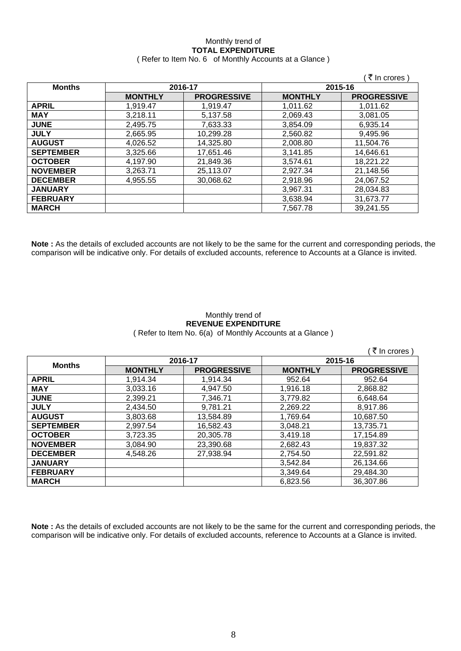# Monthly trend of **TOTAL EXPENDITURE**

|  | (Refer to Item No. 6 of Monthly Accounts at a Glance) |
|--|-------------------------------------------------------|
|--|-------------------------------------------------------|

|                  |                |                    |                | ∶ <i>ই</i> In crores ) |
|------------------|----------------|--------------------|----------------|------------------------|
| <b>Months</b>    | 2016-17        |                    |                | 2015-16                |
|                  | <b>MONTHLY</b> | <b>PROGRESSIVE</b> | <b>MONTHLY</b> | <b>PROGRESSIVE</b>     |
| <b>APRIL</b>     | 1,919.47       | 1.919.47           | 1.011.62       | 1,011.62               |
| <b>MAY</b>       | 3,218.11       | 5,137.58           | 2,069.43       | 3,081.05               |
| <b>JUNE</b>      | 2,495.75       | 7,633.33           | 3,854.09       | 6,935.14               |
| <b>JULY</b>      | 2,665.95       | 10,299.28          | 2,560.82       | 9,495.96               |
| <b>AUGUST</b>    | 4.026.52       | 14,325.80          | 2,008.80       | 11,504.76              |
| <b>SEPTEMBER</b> | 3,325.66       | 17,651.46          | 3,141.85       | 14,646.61              |
| <b>OCTOBER</b>   | 4.197.90       | 21,849.36          | 3,574.61       | 18,221.22              |
| <b>NOVEMBER</b>  | 3,263.71       | 25,113.07          | 2,927.34       | 21,148.56              |
| <b>DECEMBER</b>  | 4,955.55       | 30,068.62          | 2,918.96       | 24,067.52              |
| <b>JANUARY</b>   |                |                    | 3,967.31       | 28,034.83              |
| <b>FEBRUARY</b>  |                |                    | 3,638.94       | 31,673.77              |
| <b>MARCH</b>     |                |                    | 7,567.78       | 39,241.55              |

**Note :** As the details of excluded accounts are not likely to be the same for the current and corresponding periods, the comparison will be indicative only. For details of excluded accounts, reference to Accounts at a Glance is invited.

### Monthly trend of **REVENUE EXPENDITURE**  ( Refer to Item No. 6(a) of Monthly Accounts at a Glance )

|                  |                |                    |                | ∶₹ In crores )     |
|------------------|----------------|--------------------|----------------|--------------------|
| <b>Months</b>    | 2016-17        |                    | 2015-16        |                    |
|                  | <b>MONTHLY</b> | <b>PROGRESSIVE</b> | <b>MONTHLY</b> | <b>PROGRESSIVE</b> |
| <b>APRIL</b>     | 1,914.34       | 1,914.34           | 952.64         | 952.64             |
| <b>MAY</b>       | 3,033.16       | 4,947.50           | 1,916.18       | 2,868.82           |
| <b>JUNE</b>      | 2,399.21       | 7,346.71           | 3,779.82       | 6,648.64           |
| <b>JULY</b>      | 2,434.50       | 9,781.21           | 2,269.22       | 8,917.86           |
| <b>AUGUST</b>    | 3,803.68       | 13,584.89          | 1,769.64       | 10,687.50          |
| <b>SEPTEMBER</b> | 2,997.54       | 16,582.43          | 3,048.21       | 13,735.71          |
| <b>OCTOBER</b>   | 3,723.35       | 20,305.78          | 3,419.18       | 17,154.89          |
| <b>NOVEMBER</b>  | 3,084.90       | 23,390.68          | 2,682.43       | 19,837.32          |
| <b>DECEMBER</b>  | 4,548.26       | 27,938.94          | 2,754.50       | 22,591.82          |
| <b>JANUARY</b>   |                |                    | 3,542.84       | 26,134.66          |
| <b>FEBRUARY</b>  |                |                    | 3,349.64       | 29,484.30          |
| <b>MARCH</b>     |                |                    | 6,823.56       | 36,307.86          |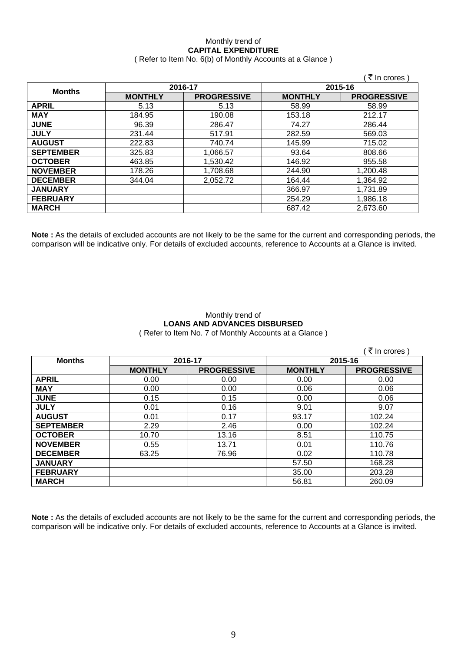### Monthly trend of **CAPITAL EXPENDITURE**  ( Refer to Item No. 6(b) of Monthly Accounts at a Glance )

|                  |                |                    |                | ∶₹ In crores )     |
|------------------|----------------|--------------------|----------------|--------------------|
| <b>Months</b>    | 2016-17        |                    | 2015-16        |                    |
|                  | <b>MONTHLY</b> | <b>PROGRESSIVE</b> | <b>MONTHLY</b> | <b>PROGRESSIVE</b> |
| <b>APRIL</b>     | 5.13           | 5.13               | 58.99          | 58.99              |
| <b>MAY</b>       | 184.95         | 190.08             | 153.18         | 212.17             |
| <b>JUNE</b>      | 96.39          | 286.47             | 74.27          | 286.44             |
| <b>JULY</b>      | 231.44         | 517.91             | 282.59         | 569.03             |
| <b>AUGUST</b>    | 222.83         | 740.74             | 145.99         | 715.02             |
| <b>SEPTEMBER</b> | 325.83         | 1,066.57           | 93.64          | 808.66             |
| <b>OCTOBER</b>   | 463.85         | 1,530.42           | 146.92         | 955.58             |
| <b>NOVEMBER</b>  | 178.26         | 1,708.68           | 244.90         | 1,200.48           |
| <b>DECEMBER</b>  | 344.04         | 2,052.72           | 164.44         | 1,364.92           |
| <b>JANUARY</b>   |                |                    | 366.97         | 1,731.89           |
| <b>FEBRUARY</b>  |                |                    | 254.29         | 1,986.18           |
| <b>MARCH</b>     |                |                    | 687.42         | 2,673.60           |

**Note :** As the details of excluded accounts are not likely to be the same for the current and corresponding periods, the comparison will be indicative only. For details of excluded accounts, reference to Accounts at a Glance is invited.

### Monthly trend of **LOANS AND ADVANCES DISBURSED**  ( Refer to Item No. 7 of Monthly Accounts at a Glance )

|                  |                |                    |                | ₹ In crores)       |
|------------------|----------------|--------------------|----------------|--------------------|
| <b>Months</b>    | 2016-17        |                    | 2015-16        |                    |
|                  | <b>MONTHLY</b> | <b>PROGRESSIVE</b> | <b>MONTHLY</b> | <b>PROGRESSIVE</b> |
| <b>APRIL</b>     | 0.00           | 0.00               | 0.00           | 0.00               |
| <b>MAY</b>       | 0.00           | 0.00               | 0.06           | 0.06               |
| <b>JUNE</b>      | 0.15           | 0.15               | 0.00           | 0.06               |
| <b>JULY</b>      | 0.01           | 0.16               | 9.01           | 9.07               |
| <b>AUGUST</b>    | 0.01           | 0.17               | 93.17          | 102.24             |
| <b>SEPTEMBER</b> | 2.29           | 2.46               | 0.00           | 102.24             |
| <b>OCTOBER</b>   | 10.70          | 13.16              | 8.51           | 110.75             |
| <b>NOVEMBER</b>  | 0.55           | 13.71              | 0.01           | 110.76             |
| <b>DECEMBER</b>  | 63.25          | 76.96              | 0.02           | 110.78             |
| <b>JANUARY</b>   |                |                    | 57.50          | 168.28             |
| <b>FEBRUARY</b>  |                |                    | 35.00          | 203.28             |
| <b>MARCH</b>     |                |                    | 56.81          | 260.09             |